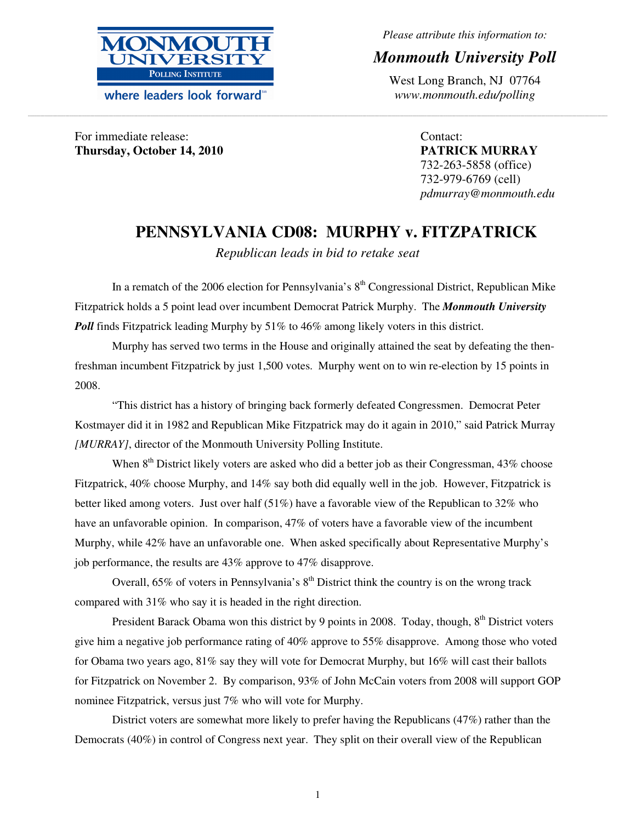

where leaders look forward<sup>\*\*</sup>

*Please attribute this information to:* 

# *Monmouth University Poll*

West Long Branch, NJ 07764 *www.monmouth.edu/polling*

For immediate release: **Thursday, October 14, 2010**  Contact: **PATRICK MURRAY**  732-263-5858 (office) 732-979-6769 (cell) *pdmurray@monmouth.edu* 

# **PENNSYLVANIA CD08: MURPHY v. FITZPATRICK**

*Republican leads in bid to retake seat* 

**\_\_\_\_\_\_\_\_\_\_\_\_\_\_\_\_\_\_\_\_\_\_\_\_\_\_\_\_\_\_\_\_\_\_\_\_\_\_\_\_\_\_\_\_\_\_\_\_\_\_\_\_\_\_\_\_\_\_\_\_\_\_\_\_\_\_\_\_\_\_\_\_\_\_\_\_\_\_\_\_\_\_\_\_\_\_\_\_\_\_\_\_\_\_\_\_\_\_\_\_\_\_\_\_\_\_\_\_\_\_\_\_\_\_\_\_\_\_\_\_\_\_\_\_\_\_\_\_\_\_\_\_\_\_\_\_\_\_\_\_\_\_\_\_\_\_\_\_\_\_\_\_\_\_\_\_\_\_\_\_\_\_\_\_\_\_\_\_\_\_\_\_\_\_\_\_\_\_\_\_\_\_\_\_\_\_\_\_\_\_\_\_\_\_\_\_\_\_\_\_\_\_\_\_\_\_\_\_\_\_\_\_\_\_\_\_\_\_\_\_\_\_\_\_\_\_\_\_\_\_\_\_\_\_\_\_\_\_\_\_\_\_\_\_\_\_\_\_\_\_\_\_\_\_\_\_\_\_\_\_\_\_\_\_\_\_\_\_\_\_\_\_\_\_\_\_\_\_\_** 

In a rematch of the 2006 election for Pennsylvania's  $8<sup>th</sup>$  Congressional District, Republican Mike Fitzpatrick holds a 5 point lead over incumbent Democrat Patrick Murphy. The *Monmouth University Poll* finds Fitzpatrick leading Murphy by 51% to 46% among likely voters in this district.

Murphy has served two terms in the House and originally attained the seat by defeating the thenfreshman incumbent Fitzpatrick by just 1,500 votes. Murphy went on to win re-election by 15 points in 2008.

"This district has a history of bringing back formerly defeated Congressmen. Democrat Peter Kostmayer did it in 1982 and Republican Mike Fitzpatrick may do it again in 2010," said Patrick Murray *[MURRAY]*, director of the Monmouth University Polling Institute.

When  $8<sup>th</sup>$  District likely voters are asked who did a better job as their Congressman, 43% choose Fitzpatrick, 40% choose Murphy, and 14% say both did equally well in the job. However, Fitzpatrick is better liked among voters. Just over half (51%) have a favorable view of the Republican to 32% who have an unfavorable opinion. In comparison, 47% of voters have a favorable view of the incumbent Murphy, while 42% have an unfavorable one. When asked specifically about Representative Murphy's job performance, the results are 43% approve to 47% disapprove.

Overall,  $65\%$  of voters in Pennsylvania's  $8<sup>th</sup>$  District think the country is on the wrong track compared with 31% who say it is headed in the right direction.

President Barack Obama won this district by 9 points in 2008. Today, though,  $8<sup>th</sup>$  District voters give him a negative job performance rating of 40% approve to 55% disapprove. Among those who voted for Obama two years ago, 81% say they will vote for Democrat Murphy, but 16% will cast their ballots for Fitzpatrick on November 2. By comparison, 93% of John McCain voters from 2008 will support GOP nominee Fitzpatrick, versus just 7% who will vote for Murphy.

 District voters are somewhat more likely to prefer having the Republicans (47%) rather than the Democrats (40%) in control of Congress next year. They split on their overall view of the Republican

1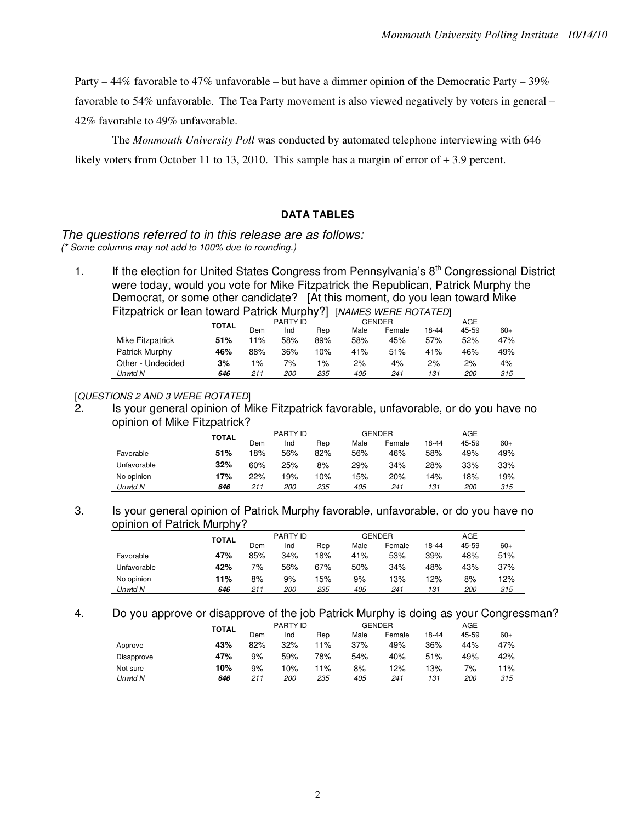Party – 44% favorable to 47% unfavorable – but have a dimmer opinion of the Democratic Party – 39%

favorable to 54% unfavorable. The Tea Party movement is also viewed negatively by voters in general – 42% favorable to 49% unfavorable.

The *Monmouth University Poll* was conducted by automated telephone interviewing with 646 likely voters from October 11 to 13, 2010. This sample has a margin of error of  $+3.9$  percent.

### **DATA TABLES**

#### The questions referred to in this release are as follows: (\* Some columns may not add to 100% due to rounding.)

1. If the election for United States Congress from Pennsylvania's 8<sup>th</sup> Congressional District were today, would you vote for Mike Fitzpatrick the Republican, Patrick Murphy the Democrat, or some other candidate? [At this moment, do you lean toward Mike Fitzpatrick or lean toward Patrick Murphy?] [NAMES WERE ROTATED]

|                   | <b>TOTAL</b> |       | <b>PARTY ID</b> |       |      | <b>GENDER</b> |       | AGE        |       |
|-------------------|--------------|-------|-----------------|-------|------|---------------|-------|------------|-------|
|                   |              | Dem   | Ind             | Rep   | Male | Female        | 18-44 | 45-59      | $60+$ |
| Mike Fitzpatrick  | 51%          | $1\%$ | 58%             | 89%   | 58%  | 45%           | 57%   | 52%        | 47%   |
| Patrick Murphy    | 46%          | 88%   | 36%             | 10%   | 41%  | 51%           | 41%   | 46%        | 49%   |
| Other - Undecided | 3%           | $1\%$ | 7%              | $1\%$ | 2%   | 4%            | 2%    | 2%         | 4%    |
| Unwtd N           | 646          | 211   | <i>200</i>      | 235   | 405  | 241           | 131   | <i>200</i> | 315   |

[QUESTIONS 2 AND 3 WERE ROTATED]

2. Is your general opinion of Mike Fitzpatrick favorable, unfavorable, or do you have no opinion of Mike Fitzpatrick?

|             | TOTAL |     | PARTY ID   |     |      | <b>GENDER</b> |       | AGE        |       |
|-------------|-------|-----|------------|-----|------|---------------|-------|------------|-------|
|             |       | Dem | Ind        | Rep | Male | Female        | 18-44 | 45-59      | $60+$ |
| Favorable   | 51%   | 18% | 56%        | 82% | 56%  | 46%           | 58%   | 49%        | 49%   |
| Unfavorable | 32%   | 60% | 25%        | 8%  | 29%  | 34%           | 28%   | 33%        | 33%   |
| No opinion  | 17%   | 22% | 19%        | 10% | 15%  | 20%           | 14%   | 18%        | 19%   |
| Unwtd N     | 646   | 211 | <i>200</i> | 235 | 405  | 241           | 131   | <i>200</i> | 315   |
|             |       |     |            |     |      |               |       |            |       |

### 3. Is your general opinion of Patrick Murphy favorable, unfavorable, or do you have no opinion of Patrick Murphy?

|             | <b>TOTAL</b> |     | PARTY ID   |     |      | <b>GENDER</b> |       | AGE        |       |
|-------------|--------------|-----|------------|-----|------|---------------|-------|------------|-------|
|             |              | Dem | Ind        | Rep | Male | Female        | 18-44 | 45-59      | $60+$ |
| Favorable   | 47%          | 85% | 34%        | 18% | 41%  | 53%           | 39%   | 48%        | 51%   |
| Unfavorable | 42%          | 7%  | 56%        | 67% | 50%  | 34%           | 48%   | 43%        | 37%   |
| No opinion  | 11%          | 8%  | 9%         | 15% | 9%   | 13%           | 12%   | 8%         | 12%   |
| Unwtd N     | 646          | 211 | <i>200</i> | 235 | 405  | 241           | 131   | <i>200</i> | 315   |

4. Do you approve or disapprove of the job Patrick Murphy is doing as your Congressman?

|            | <b>TOTAL</b> | PARTY ID |            |     |      | GENDER | AGE   |            |       |
|------------|--------------|----------|------------|-----|------|--------|-------|------------|-------|
|            |              | Dem      | Ind        | Rep | Male | Female | 18-44 | 45-59      | $60+$ |
| Approve    | 43%          | 82%      | 32%        | 11% | 37%  | 49%    | 36%   | 44%        | 47%   |
| Disapprove | 47%          | 9%       | 59%        | 78% | 54%  | 40%    | 51%   | 49%        | 42%   |
| Not sure   | 10%          | 9%       | 10%        | 11% | 8%   | 12%    | 13%   | 7%         | 11%   |
| Unwtd N    | 646          | 211      | <i>200</i> | 235 | 405  | 241    | 131   | <i>200</i> | 315   |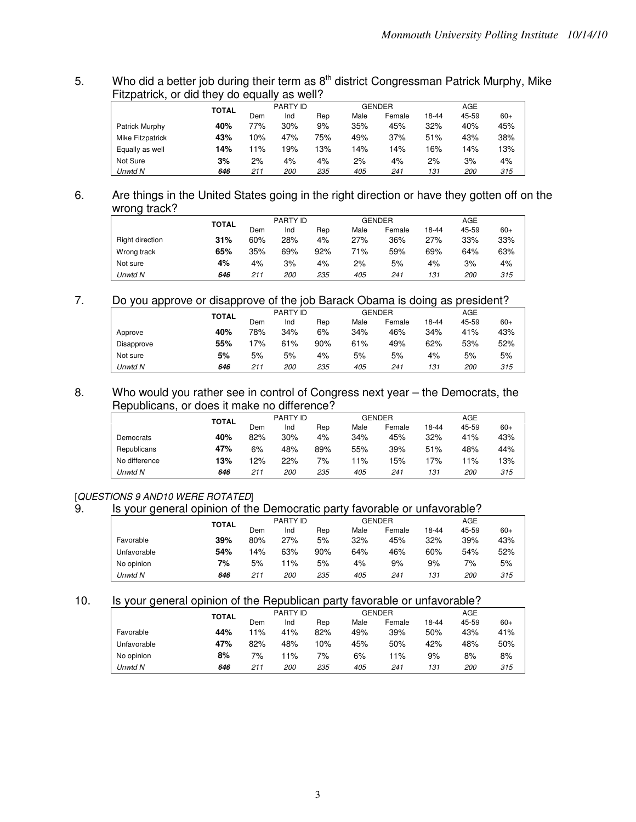5. Who did a better job during their term as  $8<sup>th</sup>$  district Congressman Patrick Murphy, Mike Fitzpatrick, or did they do equally as well?

|                  |              |     | PARTY ID   |     |      | <b>GENDER</b> |       | AGE        |       |
|------------------|--------------|-----|------------|-----|------|---------------|-------|------------|-------|
|                  | <b>TOTAL</b> | Dem | Ind        | Rep | Male | Female        | 18-44 | 45-59      | $60+$ |
| Patrick Murphy   | 40%          | 77% | 30%        | 9%  | 35%  | 45%           | 32%   | 40%        | 45%   |
| Mike Fitzpatrick | 43%          | 10% | 47%        | 75% | 49%  | 37%           | 51%   | 43%        | 38%   |
| Equally as well  | 14%          | 11% | '9%        | 13% | 14%  | 14%           | 16%   | 14%        | 13%   |
| Not Sure         | 3%           | 2%  | 4%         | 4%  | 2%   | 4%            | 2%    | 3%         | 4%    |
| Unwtd N          | 646          | 211 | <i>200</i> | 235 | 405  | 241           | 131   | <i>200</i> | 315   |

## 6. Are things in the United States going in the right direction or have they gotten off on the wrong track?

|                 | <b>TOTAL</b> |     | PARTY ID   |     |      | <b>GENDER</b> |       | AGE        |       |
|-----------------|--------------|-----|------------|-----|------|---------------|-------|------------|-------|
|                 |              | Dem | Ind        | Rep | Male | Female        | 18-44 | 45-59      | $60+$ |
| Right direction | 31%          | 60% | 28%        | 4%  | 27%  | 36%           | 27%   | 33%        | 33%   |
| Wrong track     | 65%          | 35% | 69%        | 92% | 71%  | 59%           | 69%   | 64%        | 63%   |
| Not sure        | 4%           | 4%  | 3%         | 4%  | 2%   | 5%            | 4%    | 3%         | 4%    |
| Unwtd N         | 646          | 211 | <i>200</i> | 235 | 405  | 241           | 131   | <i>200</i> | 315   |

## 7. Do you approve or disapprove of the job Barack Obama is doing as president?

|            | TOTAL |     | PARTY ID   |     |      | <b>GENDER</b> |       | <b>AGE</b> |       |
|------------|-------|-----|------------|-----|------|---------------|-------|------------|-------|
|            |       | Dem | Ind        | Rep | Male | Female        | 18-44 | 45-59      | $60+$ |
| Approve    | 40%   | 78% | 34%        | 6%  | 34%  | 46%           | 34%   | 41%        | 43%   |
| Disapprove | 55%   | 17% | 61%        | 90% | 61%  | 49%           | 62%   | 53%        | 52%   |
| Not sure   | 5%    | 5%  | 5%         | 4%  | 5%   | 5%            | 4%    | 5%         | 5%    |
| Unwtd N    | 646   | 211 | <i>200</i> | 235 | 405  | 241           | 131   | <i>200</i> | 315   |

### 8. Who would you rather see in control of Congress next year – the Democrats, the Republicans, or does it make no difference?

|               | <b>TOTAL</b> |     | PARTY ID   |     |      | <b>GENDER</b> |       | AGE        |       |
|---------------|--------------|-----|------------|-----|------|---------------|-------|------------|-------|
|               |              | Dem | Ind        | Rep | Male | Female        | 18-44 | 45-59      | $60+$ |
| Democrats     | 40%          | 82% | 30%        | 4%  | 34%  | 45%           | 32%   | 41%        | 43%   |
| Republicans   | 47%          | 6%  | 48%        | 89% | 55%  | 39%           | 51%   | 48%        | 44%   |
| No difference | 13%          | 12% | 22%        | 7%  | 1%   | 15%           | 17%   | 1%         | 13%   |
| Unwtd N       | 646          | 211 | <i>200</i> | 235 | 405  | 241           | 131   | <i>200</i> | 315   |

# [QUESTIONS 9 AND10 WERE ROTATED]

# 9. Is your general opinion of the Democratic party favorable or unfavorable?

|             | <b>TOTAL</b> |     | PARTY ID   |     |      | <b>GENDER</b> | AGE   |       |       |
|-------------|--------------|-----|------------|-----|------|---------------|-------|-------|-------|
|             |              | Dem | Ind        | Rep | Male | Female        | 18-44 | 45-59 | $60+$ |
| Favorable   | 39%          | 80% | 27%        | 5%  | 32%  | 45%           | 32%   | 39%   | 43%   |
| Unfavorable | 54%          | 14% | 63%        | 90% | 64%  | 46%           | 60%   | 54%   | 52%   |
| No opinion  | 7%           | 5%  | $1\%$      | 5%  | 4%   | 9%            | 9%    | 7%    | 5%    |
| Unwtd N     | 646          | 211 | <i>200</i> | 235 | 405  | 241           | 131   | 200   | 315   |

## 10. Is your general opinion of the Republican party favorable or unfavorable?

|             | <b>TOTAL</b> |     | PARTY ID   |     |      | <b>GENDER</b> |       | AGE        |       |
|-------------|--------------|-----|------------|-----|------|---------------|-------|------------|-------|
|             |              | Dem | Ind        | Rep | Male | Female        | 18-44 | 45-59      | $60+$ |
| Favorable   | 44%          | 11% | 41%        | 82% | 49%  | 39%           | 50%   | 43%        | 41%   |
| Unfavorable | 47%          | 82% | 48%        | 10% | 45%  | 50%           | 42%   | 48%        | 50%   |
| No opinion  | 8%           | 7%  | 11%        | 7%  | 6%   | 11%           | 9%    | 8%         | 8%    |
| Unwtd N     | 646          | 211 | <i>200</i> | 235 | 405  | 241           | 131   | <i>200</i> | 315   |